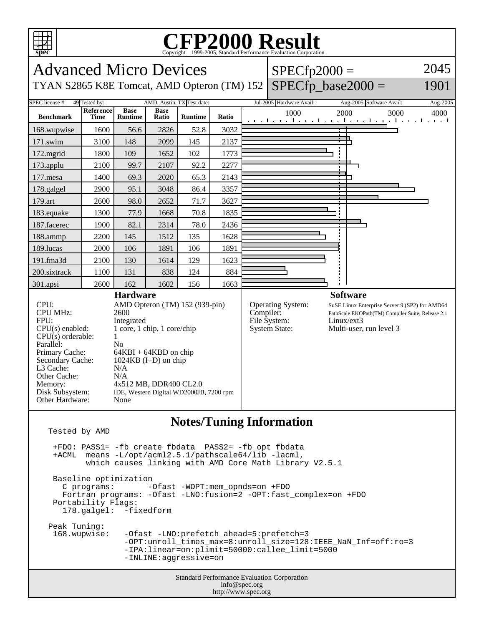

-IPA:linear=on:plimit=50000:callee\_limit=5000

-INLINE:aggressive=on

Standard Performance Evaluation Corporation info@spec.org http://www.spec.org